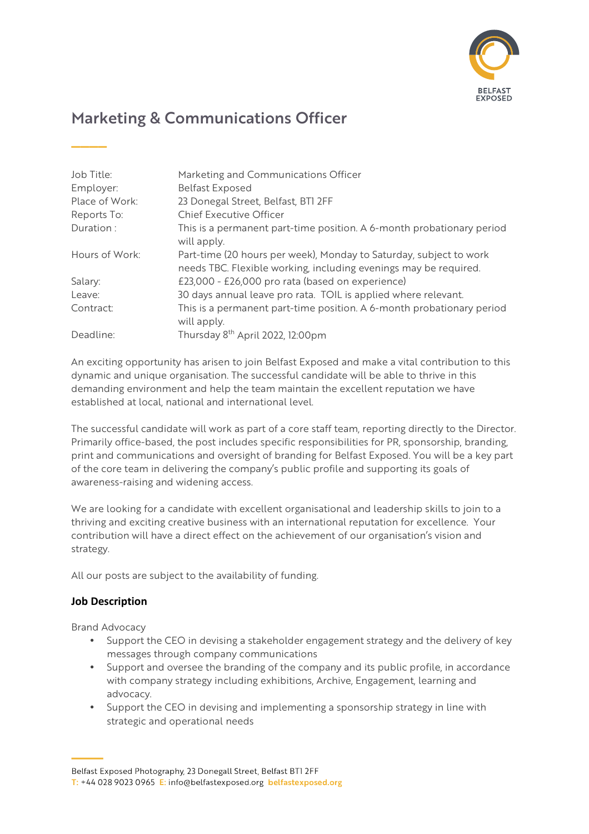

# Marketing & Communications Officer

| Job Title:     | Marketing and Communications Officer                                                                                                   |
|----------------|----------------------------------------------------------------------------------------------------------------------------------------|
| Employer:      | <b>Belfast Exposed</b>                                                                                                                 |
| Place of Work: | 23 Donegal Street, Belfast, BTI 2FF                                                                                                    |
| Reports To:    | <b>Chief Executive Officer</b>                                                                                                         |
| Duration:      | This is a permanent part-time position. A 6-month probationary period<br>will apply.                                                   |
| Hours of Work: | Part-time (20 hours per week), Monday to Saturday, subject to work<br>needs TBC. Flexible working, including evenings may be required. |
| Salary:        | £23,000 - £26,000 pro rata (based on experience)                                                                                       |
| Leave:         | 30 days annual leave pro rata. TOIL is applied where relevant.                                                                         |
| Contract:      | This is a permanent part-time position. A 6-month probationary period<br>will apply.                                                   |
| Deadline:      | Thursday 8 <sup>th</sup> April 2022, 12:00pm                                                                                           |

An exciting opportunity has arisen to join Belfast Exposed and make a vital contribution to this dynamic and unique organisation. The successful candidate will be able to thrive in this demanding environment and help the team maintain the excellent reputation we have established at local, national and international level.

The successful candidate will work as part of a core staff team, reporting directly to the Director. Primarily office-based, the post includes specific responsibilities for PR, sponsorship, branding, print and communications and oversight of branding for Belfast Exposed. You will be a key part of the core team in delivering the company's public profile and supporting its goals of awareness-raising and widening access.

We are looking for a candidate with excellent organisational and leadership skills to join to a thriving and exciting creative business with an international reputation for excellence. Your contribution will have a direct effect on the achievement of our organisation's vision and strategy.

All our posts are subject to the availability of funding.

# **Job Description**

**\_\_\_\_**

Brand Advocacy

- Support the CEO in devising a stakeholder engagement strategy and the delivery of key messages through company communications
- Support and oversee the branding of the company and its public profile, in accordance with company strategy including exhibitions, Archive, Engagement, learning and advocacy.
- Support the CEO in devising and implementing a sponsorship strategy in line with strategic and operational needs

Belfast Exposed Photography, 23 Donegall Street, Belfast BTI 2FF

T: +44 028 9023 0965 E: info@belfastexposed.org belfastexposed.org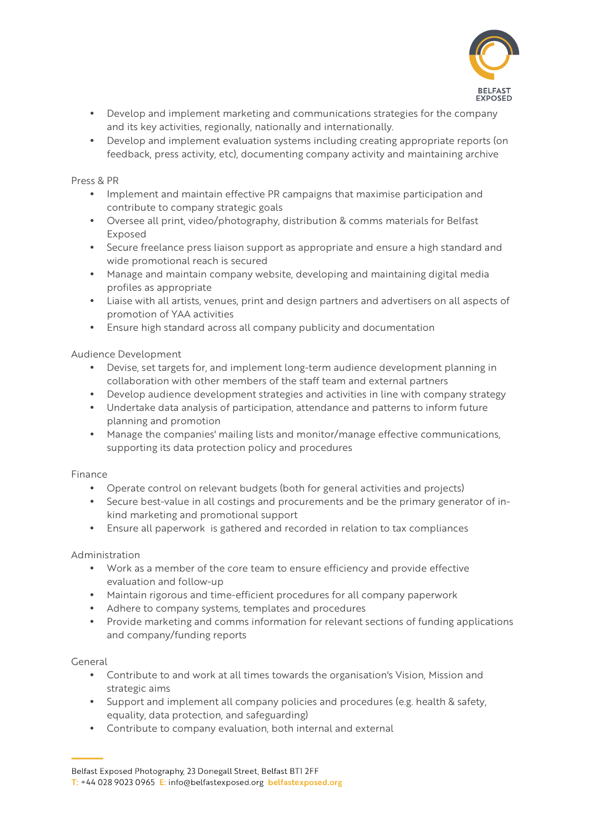

- Develop and implement marketing and communications strategies for the company and its key activities, regionally, nationally and internationally.
- Develop and implement evaluation systems including creating appropriate reports (on feedback, press activity, etc), documenting company activity and maintaining archive

Press & PR

- Implement and maintain effective PR campaigns that maximise participation and contribute to company strategic goals
- Oversee all print, video/photography, distribution & comms materials for Belfast Exposed
- Secure freelance press liaison support as appropriate and ensure a high standard and wide promotional reach is secured
- Manage and maintain company website, developing and maintaining digital media profiles as appropriate
- Liaise with all artists, venues, print and design partners and advertisers on all aspects of promotion of YAA activities
- Ensure high standard across all company publicity and documentation

Audience Development

- Devise, set targets for, and implement long-term audience development planning in collaboration with other members of the staff team and external partners
- Develop audience development strategies and activities in line with company strategy
- Undertake data analysis of participation, attendance and patterns to inform future planning and promotion
- Manage the companies' mailing lists and monitor/manage effective communications, supporting its data protection policy and procedures

# Finance

- Operate control on relevant budgets (both for general activities and projects)
- Secure best-value in all costings and procurements and be the primary generator of inkind marketing and promotional support
- Ensure all paperwork is gathered and recorded in relation to tax compliances

### Administration

- Work as a member of the core team to ensure efficiency and provide effective evaluation and follow-up
- Maintain rigorous and time-efficient procedures for all company paperwork
- Adhere to company systems, templates and procedures
- Provide marketing and comms information for relevant sections of funding applications and company/funding reports

### General

- Contribute to and work at all times towards the organisation's Vision, Mission and strategic aims
- Support and implement all company policies and procedures (e.g. health & safety, equality, data protection, and safeguarding)
- Contribute to company evaluation, both internal and external

Belfast Exposed Photography, 23 Donegall Street, Belfast BTI 2FF

T: +44 028 9023 0965 E: info@belfastexposed.org belfastexposed.org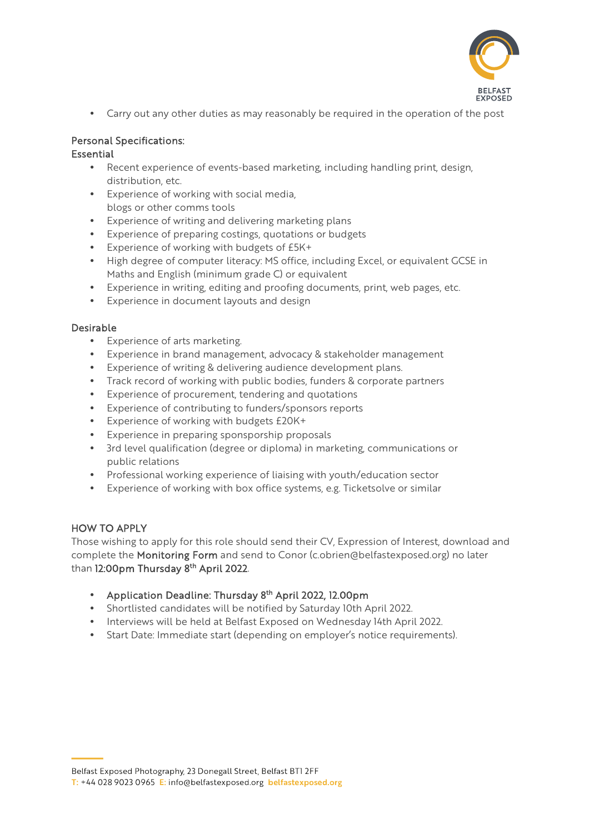

• Carry out any other duties as may reasonably be required in the operation of the post

# Personal Specifications:

# **Essential**

- Recent experience of events-based marketing, including handling print, design, distribution, etc.
- Experience of working with social media, blogs or other comms tools
- Experience of writing and delivering marketing plans
- Experience of preparing costings, quotations or budgets
- Experience of working with budgets of £5K+
- High degree of computer literacy: MS office, including Excel, or equivalent GCSE in Maths and English (minimum grade C) or equivalent
- Experience in writing, editing and proofing documents, print, web pages, etc.
- Experience in document layouts and design

# Desirable

- Experience of arts marketing.
- Experience in brand management, advocacy & stakeholder management
- Experience of writing & delivering audience development plans.
- Track record of working with public bodies, funders & corporate partners
- Experience of procurement, tendering and quotations
- Experience of contributing to funders/sponsors reports
- Experience of working with budgets £20K+
- Experience in preparing sponsporship proposals
- 3rd level qualification (degree or diploma) in marketing, communications or public relations
- Professional working experience of liaising with youth/education sector
- Experience of working with box office systems, e.g. Ticketsolve or similar

# HOW TO APPLY

Those wishing to apply for this role should send their CV, Expression of Interest, download and complete the Monitoring Form and send to Conor (c.obrien@belfastexposed.org) no later than 12:00pm Thursday 8<sup>th</sup> April 2022.

- Application Deadline: Thursday 8<sup>th</sup> April 2022, 12.00pm
- Shortlisted candidates will be notified by Saturday 10th April 2022.
- Interviews will be held at Belfast Exposed on Wednesday 14th April 2022.
- Start Date: Immediate start (depending on employer's notice requirements).

Belfast Exposed Photography, 23 Donegall Street, Belfast BTI 2FF

T: +44 028 9023 0965 E: info@belfastexposed.org belfastexposed.org